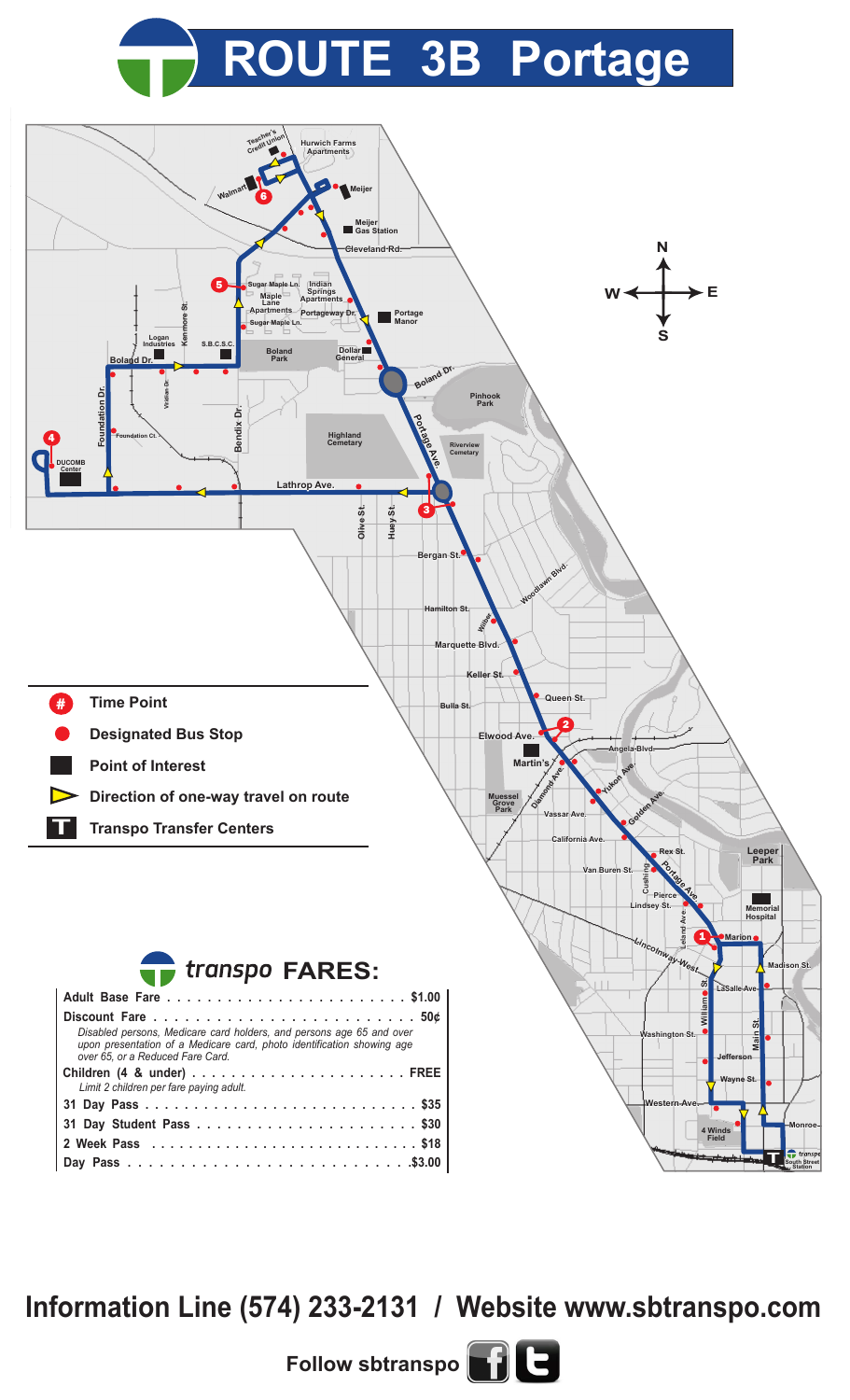## **ROUTE 3B Portage**



**Information Line (574) 233-2131 / Website www.sbtranspo.com**

**Follow sbtranspo**